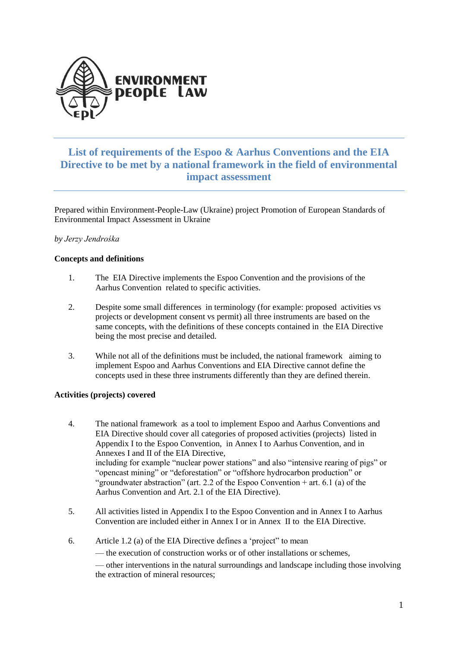

# **List of requirements of the Espoo & Aarhus Conventions and the EIA Directive to be met by a national framework in the field of environmental impact assessment**

Prepared within Environment-People-Law (Ukraine) project Promotion of European Standards of Environmental Impact Assessment in Ukraine

# *by Jerzy Jendrośka*

# **Concepts and definitions**

- 1. The EIA Directive implements the Espoo Convention and the provisions of the Aarhus Convention related to specific activities.
- 2. Despite some small differences in terminology (for example: proposed activities vs projects or development consent vs permit) all three instruments are based on the same concepts, with the definitions of these concepts contained in the EIA Directive being the most precise and detailed.
- 3. While not all of the definitions must be included, the national framework aiming to implement Espoo and Aarhus Conventions and EIA Directive cannot define the concepts used in these three instruments differently than they are defined therein.

#### **Activities (projects) covered**

- 4. The national framework as a tool to implement Espoo and Aarhus Conventions and EIA Directive should cover all categories of proposed activities (projects) listed in Appendix I to the Espoo Convention, in Annex I to Aarhus Convention, and in Annexes I and II of the EIA Directive, including for example "nuclear power stations" and also "intensive rearing of pigs" or "opencast mining" or "deforestation" or "offshore hydrocarbon production" or "groundwater abstraction" (art. 2.2 of the Espoo Convention + art. 6.1 (a) of the Aarhus Convention and Art. 2.1 of the EIA Directive).
- 5. All activities listed in Appendix I to the Espoo Convention and in Annex I to Aarhus Convention are included either in Annex I or in Annex II to the EIA Directive.
- 6. Article 1.2 (a) of the EIA Directive defines a 'project" to mean
	- the execution of construction works or of other installations or schemes,

— other interventions in the natural surroundings and landscape including those involving the extraction of mineral resources;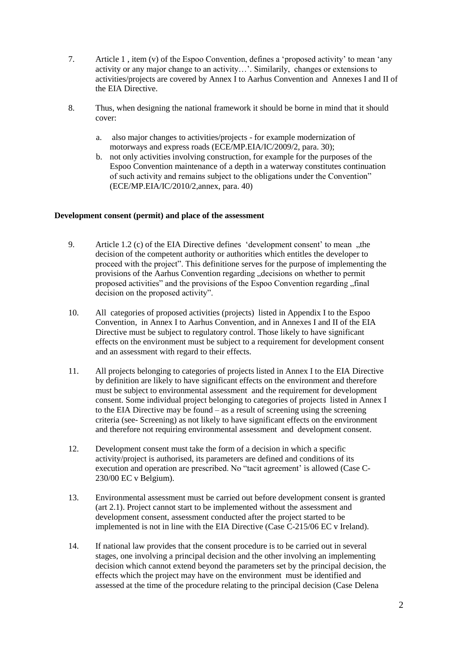- 7. Article 1 , item (v) of the Espoo Convention, defines a 'proposed activity' to mean 'any activity or any major change to an activity…'. Similarily, changes or extensions to activities/projects are covered by Annex I to Aarhus Convention and Annexes I and II of the EIA Directive.
- 8. Thus, when designing the national framework it should be borne in mind that it should cover:
	- a. also major changes to activities/projects for example modernization of motorways and express roads (ECE/MP.EIA/IC/2009/2, para. 30);
	- b. not only activities involving construction, for example for the purposes of the Espoo Convention maintenance of a depth in a waterway constitutes continuation of such activity and remains subject to the obligations under the Convention" (ECE/MP.EIA/IC/2010/2,annex, para. 40)

#### **Development consent (permit) and place of the assessment**

- 9. Article 1.2 (c) of the EIA Directive defines 'development consent' to mean ..the decision of the competent authority or authorities which entitles the developer to proceed with the project". This definitione serves for the purpose of implementing the provisions of the Aarhus Convention regarding "decisions on whether to permit proposed activities" and the provisions of the Espoo Convention regarding "final decision on the proposed activity".
- 10. All categories of proposed activities (projects) listed in Appendix I to the Espoo Convention, in Annex I to Aarhus Convention, and in Annexes I and II of the EIA Directive must be subject to regulatory control. Those likely to have significant effects on the environment must be subject to a requirement for development consent and an assessment with regard to their effects.
- 11. All projects belonging to categories of projects listed in Annex I to the EIA Directive by definition are likely to have significant effects on the environment and therefore must be subject to environmental assessment and the requirement for development consent. Some individual project belonging to categories of projects listed in Annex I to the EIA Directive may be found – as a result of screening using the screening criteria (see- Screening) as not likely to have significant effects on the environment and therefore not requiring environmental assessment and development consent.
- 12. Development consent must take the form of a decision in which a specific activity/project is authorised, its parameters are defined and conditions of its execution and operation are prescribed. No "tacit agreement' is allowed (Case C-230/00 EC v Belgium).
- 13. Environmental assessment must be carried out before development consent is granted (art 2.1). Project cannot start to be implemented without the assessment and development consent, assessment conducted after the project started to be implemented is not in line with the EIA Directive (Case C-215/06 EC v Ireland).
- 14. If national law provides that the consent procedure is to be carried out in several stages, one involving a principal decision and the other involving an implementing decision which cannot extend beyond the parameters set by the principal decision, the effects which the project may have on the environment must be identified and assessed at the time of the procedure relating to the principal decision (Case Delena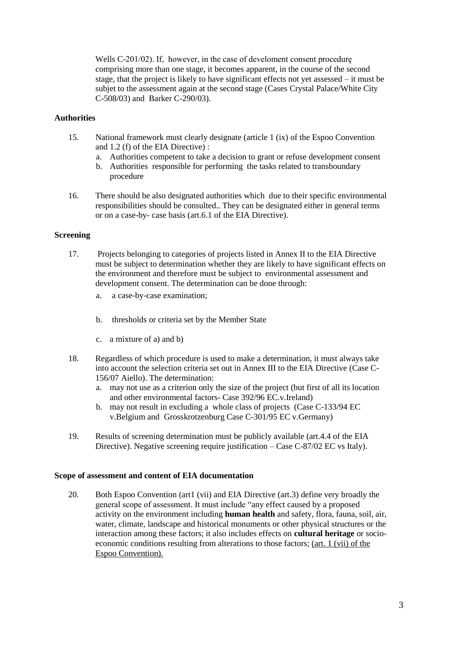Wells C-201/02). If, however, in the case of develoment consent procedurę comprising more than one stage, it becomes apparent, in the course of the second stage, that the project is likely to have significant effects not yet assessed – it must be subjet to the assessment again at the second stage (Cases Crystal Palace/White City C-508/03) and Barker C-290/03).

# **Authorities**

- 15. National framework must clearly designate (article 1 (ix) of the Espoo Convention and 1.2 (f) of the EIA Directive) :
	- a. Authorities competent to take a decision to grant or refuse development consent
	- b. Authorities responsible for performing the tasks related to transboundary procedure
- 16. There should be also designated authorities which due to their specific environmental responsibilities should be consulted.. They can be designated either in general terms or on a case-by- case basis (art.6.1 of the EIA Directive).

#### **Screening**

- 17. Projects belonging to categories of projects listed in Annex II to the EIA Directive must be subject to determination whether they are likely to have significant effects on the environment and therefore must be subject to environmental assessment and development consent. The determination can be done through:
	- a. a case-by-case examination;
	- b. thresholds or criteria set by the Member State
	- c. a mixture of a) and b)
- 18. Regardless of which procedure is used to make a determination, it must always take into account the selection criteria set out in Annex III to the EIA Directive (Case C-156/07 Aiello). The determination:
	- a. may not use as a criterion only the size of the project (but first of all its location and other environmental factors- Case 392/96 EC.v.Ireland)
	- b. may not result in excluding a whole class of projects (Case C-133/94 EC v.Belgium and Grosskrotzenburg Case C-301/95 EC v.Germany)
- 19. Results of screening determination must be publicly available (art.4.4 of the EIA Directive). Negative screening require justification – Case C-87/02 EC vs Italy).

#### **Scope of assessment and content of EIA documentation**

20. Both Espoo Convention (art1 (vii) and EIA Directive (art.3) define very broadly the general scope of assessment. It must include "any effect caused by a proposed activity on the environment including **human health** and safety, flora, fauna, soil, air, water, climate, landscape and historical monuments or other physical structures or the interaction among these factors; it also includes effects on **cultural heritage** or socioeconomic conditions resulting from alterations to those factors; (art. 1 (vii) of the Espoo Convention).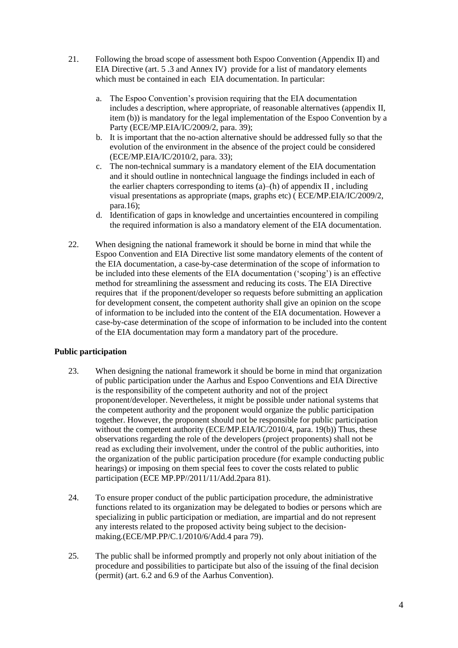- 21. Following the broad scope of assessment both Espoo Convention (Appendix II) and EIA Directive (art. 5 .3 and Annex IV) provide for a list of mandatory elements which must be contained in each EIA documentation. In particular:
	- a. The Espoo Convention's provision requiring that the EIA documentation includes a description, where appropriate, of reasonable alternatives (appendix II, item (b)) is mandatory for the legal implementation of the Espoo Convention by a Party (ECE/MP.EIA/IC/2009/2, para. 39);
	- b. It is important that the no-action alternative should be addressed fully so that the evolution of the environment in the absence of the project could be considered (ECE/MP.EIA/IC/2010/2, para. 33);
	- c. The non-technical summary is a mandatory element of the EIA documentation and it should outline in nontechnical language the findings included in each of the earlier chapters corresponding to items  $(a)$ –(h) of appendix II, including visual presentations as appropriate (maps, graphs etc) ( ECE/MP.EIA/IC/2009/2, para.16);
	- d. Identification of gaps in knowledge and uncertainties encountered in compiling the required information is also a mandatory element of the EIA documentation.
- 22. When designing the national framework it should be borne in mind that while the Espoo Convention and EIA Directive list some mandatory elements of the content of the EIA documentation, a case-by-case determination of the scope of information to be included into these elements of the EIA documentation ('scoping') is an effective method for streamlining the assessment and reducing its costs. The EIA Directive requires that if the proponent/developer so requests before submitting an application for development consent, the competent authority shall give an opinion on the scope of information to be included into the content of the EIA documentation. However a case-by-case determination of the scope of information to be included into the content of the EIA documentation may form a mandatory part of the procedure.

# **Public participation**

- 23. When designing the national framework it should be borne in mind that organization of public participation under the Aarhus and Espoo Conventions and EIA Directive is the responsibility of the competent authority and not of the project proponent/developer. Nevertheless, it might be possible under national systems that the competent authority and the proponent would organize the public participation together. However, the proponent should not be responsible for public participation without the competent authority (ECE/MP.EIA/IC/2010/4, para. 19(b)) Thus, these observations regarding the role of the developers (project proponents) shall not be read as excluding their involvement, under the control of the public authorities, into the organization of the public participation procedure (for example conducting public hearings) or imposing on them special fees to cover the costs related to public participation (ECE MP.PP//2011/11/Add.2para 81).
- 24. To ensure proper conduct of the public participation procedure, the administrative functions related to its organization may be delegated to bodies or persons which are specializing in public participation or mediation, are impartial and do not represent any interests related to the proposed activity being subject to the decisionmaking.(ECE/MP.PP/C.1/2010/6/Add.4 para 79).
- 25. The public shall be informed promptly and properly not only about initiation of the procedure and possibilities to participate but also of the issuing of the final decision (permit) (art. 6.2 and 6.9 of the Aarhus Convention).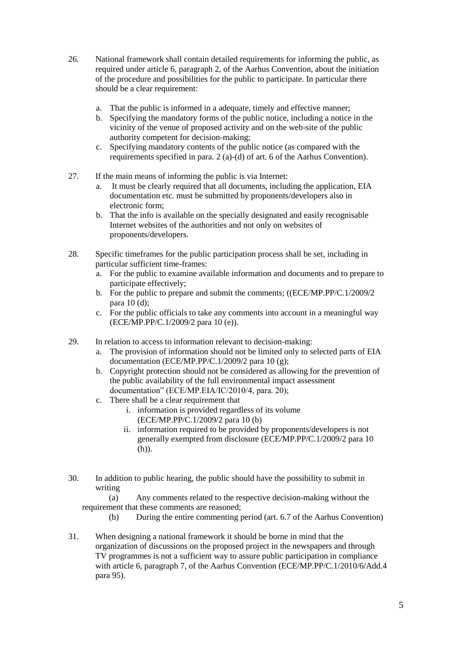- 26. National framework shall contain detailed requirements for informing the public, as required under article 6, paragraph 2, of the Aarhus Convention, about the initiation of the procedure and possibilities for the public to participate. In particular there should be a clear requirement:
	- a. That the public is informed in a adequate, timely and effective manner;
	- b. Specifying the mandatory forms of the public notice, including a notice in the vicinity of the venue of proposed activity and on the web-site of the public authority competent for decision-making;
	- c. Specifying mandatory contents of the public notice (as compared with the requirements specified in para. 2 (a)-(d) of art. 6 of the Aarhus Convention).
- 27. If the main means of informing the public is via Internet:
	- a. It must be clearly required that all documents, including the application, EIA documentation etc. must be submitted by proponents/developers also in electronic form;
	- b. That the info is available on the specially designated and easily recognisable Internet websites of the authorities and not only on websites of proponents/developers.
- 28. Specific timeframes for the public participation process shall be set, including in particular sufficient time-frames:
	- a. For the public to examine available information and documents and to prepare to participate effectively;
	- b. For the public to prepare and submit the comments; ((ECE/MP.PP/C.1/2009/2 para 10 (d);
	- c. For the public officials to take any comments into account in a meaningful way (ECE/MP.PP/C.1/2009/2 para 10 (e)).
- 29. In relation to access to information relevant to decision-making:
	- a. The provision of information should not be limited only to selected parts of EIA documentation (ECE/MP.PP/C.1/2009/2 para 10 (g);
	- b. Copyright protection should not be considered as allowing for the prevention of the public availability of the full environmental impact assessment documentation" (ECE/MP.EIA/IC/2010/4, para. 20);
	- c. There shall be a clear requirement that
		- i. information is provided regardless of its volume (ECE/MP.PP/C.1/2009/2 para 10 (b)
		- ii. information required to be provided by proponents/developers is not generally exempted from disclosure (ECE/MP.PP/C.1/2009/2 para 10 (h)).
- 30. In addition to public hearing, the public should have the possibility to submit in writing

(a) Any comments related to the respective decision-making without the requirement that these comments are reasoned;

- (b) During the entire commenting period (art. 6.7 of the Aarhus Convention)
- 31. When designing a national framework it should be borne in mind that the organization of discussions on the proposed project in the newspapers and through TV programmes is not a sufficient way to assure public participation in compliance with article 6, paragraph 7, of the Aarhus Convention (ECE/MP.PP/C.1/2010/6/Add.4 para 95).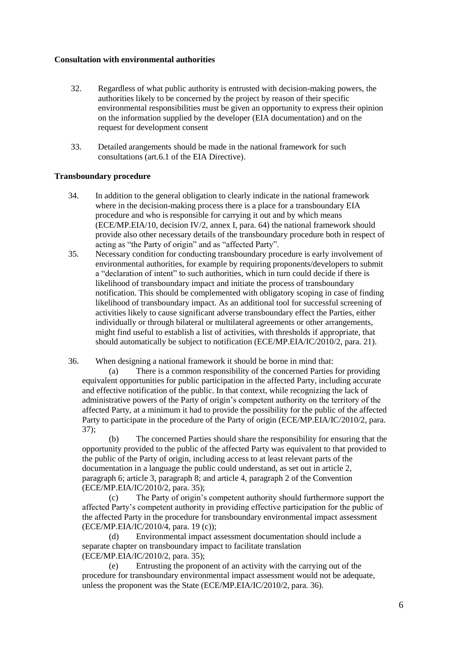# **Consultation with environmental authorities**

- 32. Regardless of what public authority is entrusted with decision-making powers, the authorities likely to be concerned by the project by reason of their specific environmental responsibilities must be given an opportunity to express their opinion on the information supplied by the developer (EIA documentation) and on the request for development consent
- 33. Detailed arangements should be made in the national framework for such consultations (art.6.1 of the EIA Directive).

# **Transboundary procedure**

- 34. In addition to the general obligation to clearly indicate in the national framework where in the decision-making process there is a place for a transboundary EIA procedure and who is responsible for carrying it out and by which means (ECE/MP.EIA/10, decision IV/2, annex I, para. 64) the national framework should provide also other necessary details of the transboundary procedure both in respect of acting as "the Party of origin" and as "affected Party".
- 35. Necessary condition for conducting transboundary procedure is early involvement of environmental authorities, for example by requiring proponents/developers to submit a "declaration of intent" to such authorities, which in turn could decide if there is likelihood of transboundary impact and initiate the process of transboundary notification. This should be complemented with obligatory scoping in case of finding likelihood of transboundary impact. As an additional tool for successful screening of activities likely to cause significant adverse transboundary effect the Parties, either individually or through bilateral or multilateral agreements or other arrangements, might find useful to establish a list of activities, with thresholds if appropriate, that should automatically be subject to notification (ECE/MP.EIA/IC/2010/2, para. 21).
- 36. When designing a national framework it should be borne in mind that:

(a) There is a common responsibility of the concerned Parties for providing equivalent opportunities for public participation in the affected Party, including accurate and effective notification of the public. In that context, while recognizing the lack of administrative powers of the Party of origin's competent authority on the territory of the affected Party, at a minimum it had to provide the possibility for the public of the affected Party to participate in the procedure of the Party of origin (ECE/MP.EIA/IC/2010/2, para. 37);

(b) The concerned Parties should share the responsibility for ensuring that the opportunity provided to the public of the affected Party was equivalent to that provided to the public of the Party of origin, including access to at least relevant parts of the documentation in a language the public could understand, as set out in article 2, paragraph 6; article 3, paragraph 8; and article 4, paragraph 2 of the Convention (ECE/MP.EIA/IC/2010/2, para. 35);

(c) The Party of origin's competent authority should furthermore support the affected Party's competent authority in providing effective participation for the public of the affected Party in the procedure for transboundary environmental impact assessment (ECE/MP.EIA/IC/2010/4, para. 19 (c));

(d) Environmental impact assessment documentation should include a separate chapter on transboundary impact to facilitate translation (ECE/MP.EIA/IC/2010/2, para. 35);

(e) Entrusting the proponent of an activity with the carrying out of the procedure for transboundary environmental impact assessment would not be adequate, unless the proponent was the State (ECE/MP.EIA/IC/2010/2, para. 36).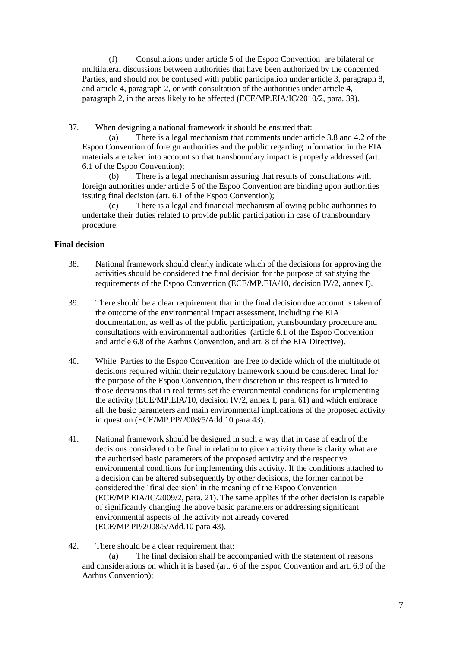(f) Consultations under article 5 of the Espoo Convention are bilateral or multilateral discussions between authorities that have been authorized by the concerned Parties, and should not be confused with public participation under article 3, paragraph 8, and article 4, paragraph 2, or with consultation of the authorities under article 4, paragraph 2, in the areas likely to be affected (ECE/MP.EIA/IC/2010/2, para. 39).

37. When designing a national framework it should be ensured that:

(a) There is a legal mechanism that comments under article 3.8 and 4.2 of the Espoo Convention of foreign authorities and the public regarding information in the EIA materials are taken into account so that transboundary impact is properly addressed (art. 6.1 of the Espoo Convention);

(b) There is a legal mechanism assuring that results of consultations with foreign authorities under article 5 of the Espoo Convention are binding upon authorities issuing final decision (art. 6.1 of the Espoo Convention);

(c) There is a legal and financial mechanism allowing public authorities to undertake their duties related to provide public participation in case of transboundary procedure.

# **Final decision**

- 38. National framework should clearly indicate which of the decisions for approving the activities should be considered the final decision for the purpose of satisfying the requirements of the Espoo Convention (ECE/MP.EIA/10, decision IV/2, annex I).
- 39. There should be a clear requirement that in the final decision due account is taken of the outcome of the environmental impact assessment, including the EIA documentation, as well as of the public participation, ytansboundary procedure and consultations with environmental authorities (article 6.1 of the Espoo Convention and article 6.8 of the Aarhus Convention, and art. 8 of the EIA Directive).
- 40. While Parties to the Espoo Convention are free to decide which of the multitude of decisions required within their regulatory framework should be considered final for the purpose of the Espoo Convention, their discretion in this respect is limited to those decisions that in real terms set the environmental conditions for implementing the activity (ECE/MP.EIA/10, decision IV/2, annex I, para. 61) and which embrace all the basic parameters and main environmental implications of the proposed activity in question (ECE/MP.PP/2008/5/Add.10 para 43).
- 41. National framework should be designed in such a way that in case of each of the decisions considered to be final in relation to given activity there is clarity what are the authorised basic parameters of the proposed activity and the respective environmental conditions for implementing this activity. If the conditions attached to a decision can be altered subsequently by other decisions, the former cannot be considered the 'final decision' in the meaning of the Espoo Convention (ECE/MP.EIA/IC/2009/2, para. 21). The same applies if the other decision is capable of significantly changing the above basic parameters or addressing significant environmental aspects of the activity not already covered (ECE/MP.PP/2008/5/Add.10 para 43).
- 42. There should be a clear requirement that:

(a) The final decision shall be accompanied with the statement of reasons and considerations on which it is based (art. 6 of the Espoo Convention and art. 6.9 of the Aarhus Convention);